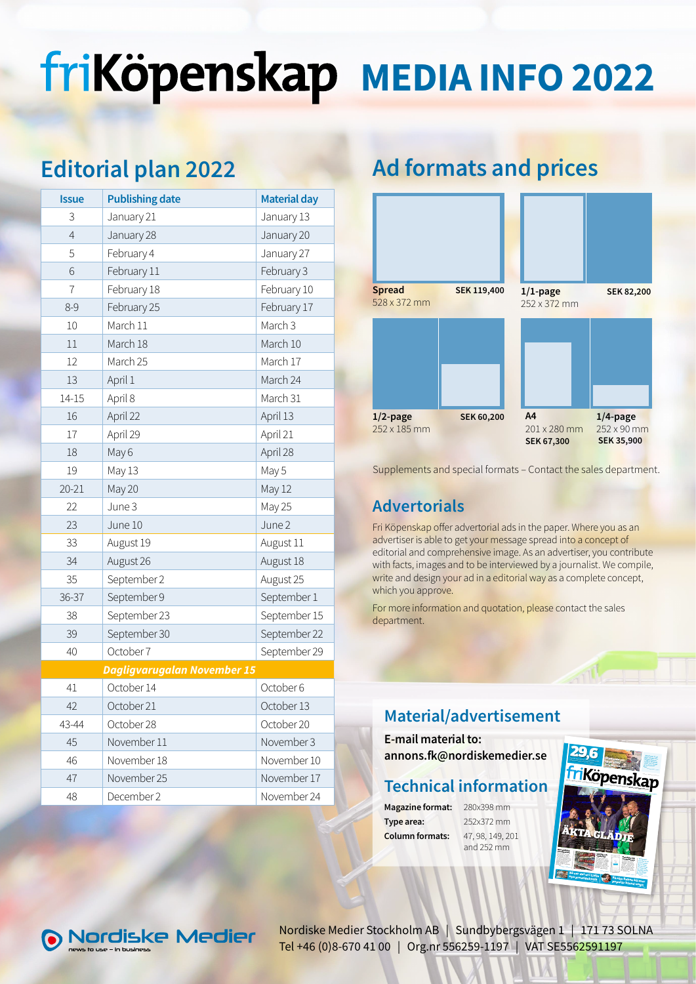# friKöpenskap MEDIA INFO 2022

# Editorial plan 2022

| 3<br>January 21<br>January 13<br>January 28<br>January 20<br>$\overline{4}$<br>5<br>February 4<br>January 27<br>6<br>February 11<br>February 3<br>February 18<br>February 10<br>7<br>$8 - 9$<br>February 25<br>February 17<br>March 11<br>March 3<br>10<br>March 18<br>March 10<br>11<br>March 17<br>March 25<br>12<br>April 1<br>March 24<br>13<br>$14 - 15$<br>April 8<br>March 31<br>April 13<br>April 22<br>16<br>17<br>April 29<br>April 21<br>April 28<br>May 6<br>18<br>19<br>May 13<br>May 5<br>20-21<br>May 20<br>May 12<br>June 3<br>May 25<br>22<br>23<br>June 10<br>June 2<br>August 19<br>August 11<br>33<br>34<br>August 26<br>August 18<br>September 2<br>35<br>August 25<br>September 9<br>36-37<br>September 1<br>September 23<br>September 15<br>38<br>September 30<br>September 22<br>39<br>October 7<br>40<br>September 29<br><b>Dagligvarugalan November 15</b><br>October 6<br>41<br>October 14<br>October 21<br>October 13<br>42<br>October 20<br>43-44<br>October 28<br>November 3<br>45<br>November 11<br>November 18<br>November 10<br>46<br>November 17<br>November 25<br>47<br>48<br>December 2<br>November 24 | <b>Issue</b> | <b>Publishing date</b> | <b>Material day</b> |  |
|--------------------------------------------------------------------------------------------------------------------------------------------------------------------------------------------------------------------------------------------------------------------------------------------------------------------------------------------------------------------------------------------------------------------------------------------------------------------------------------------------------------------------------------------------------------------------------------------------------------------------------------------------------------------------------------------------------------------------------------------------------------------------------------------------------------------------------------------------------------------------------------------------------------------------------------------------------------------------------------------------------------------------------------------------------------------------------------------------------------------------------------------|--------------|------------------------|---------------------|--|
|                                                                                                                                                                                                                                                                                                                                                                                                                                                                                                                                                                                                                                                                                                                                                                                                                                                                                                                                                                                                                                                                                                                                            |              |                        |                     |  |
|                                                                                                                                                                                                                                                                                                                                                                                                                                                                                                                                                                                                                                                                                                                                                                                                                                                                                                                                                                                                                                                                                                                                            |              |                        |                     |  |
|                                                                                                                                                                                                                                                                                                                                                                                                                                                                                                                                                                                                                                                                                                                                                                                                                                                                                                                                                                                                                                                                                                                                            |              |                        |                     |  |
|                                                                                                                                                                                                                                                                                                                                                                                                                                                                                                                                                                                                                                                                                                                                                                                                                                                                                                                                                                                                                                                                                                                                            |              |                        |                     |  |
|                                                                                                                                                                                                                                                                                                                                                                                                                                                                                                                                                                                                                                                                                                                                                                                                                                                                                                                                                                                                                                                                                                                                            |              |                        |                     |  |
|                                                                                                                                                                                                                                                                                                                                                                                                                                                                                                                                                                                                                                                                                                                                                                                                                                                                                                                                                                                                                                                                                                                                            |              |                        |                     |  |
|                                                                                                                                                                                                                                                                                                                                                                                                                                                                                                                                                                                                                                                                                                                                                                                                                                                                                                                                                                                                                                                                                                                                            |              |                        |                     |  |
|                                                                                                                                                                                                                                                                                                                                                                                                                                                                                                                                                                                                                                                                                                                                                                                                                                                                                                                                                                                                                                                                                                                                            |              |                        |                     |  |
|                                                                                                                                                                                                                                                                                                                                                                                                                                                                                                                                                                                                                                                                                                                                                                                                                                                                                                                                                                                                                                                                                                                                            |              |                        |                     |  |
|                                                                                                                                                                                                                                                                                                                                                                                                                                                                                                                                                                                                                                                                                                                                                                                                                                                                                                                                                                                                                                                                                                                                            |              |                        |                     |  |
|                                                                                                                                                                                                                                                                                                                                                                                                                                                                                                                                                                                                                                                                                                                                                                                                                                                                                                                                                                                                                                                                                                                                            |              |                        |                     |  |
|                                                                                                                                                                                                                                                                                                                                                                                                                                                                                                                                                                                                                                                                                                                                                                                                                                                                                                                                                                                                                                                                                                                                            |              |                        |                     |  |
|                                                                                                                                                                                                                                                                                                                                                                                                                                                                                                                                                                                                                                                                                                                                                                                                                                                                                                                                                                                                                                                                                                                                            |              |                        |                     |  |
|                                                                                                                                                                                                                                                                                                                                                                                                                                                                                                                                                                                                                                                                                                                                                                                                                                                                                                                                                                                                                                                                                                                                            |              |                        |                     |  |
|                                                                                                                                                                                                                                                                                                                                                                                                                                                                                                                                                                                                                                                                                                                                                                                                                                                                                                                                                                                                                                                                                                                                            |              |                        |                     |  |
|                                                                                                                                                                                                                                                                                                                                                                                                                                                                                                                                                                                                                                                                                                                                                                                                                                                                                                                                                                                                                                                                                                                                            |              |                        |                     |  |
|                                                                                                                                                                                                                                                                                                                                                                                                                                                                                                                                                                                                                                                                                                                                                                                                                                                                                                                                                                                                                                                                                                                                            |              |                        |                     |  |
|                                                                                                                                                                                                                                                                                                                                                                                                                                                                                                                                                                                                                                                                                                                                                                                                                                                                                                                                                                                                                                                                                                                                            |              |                        |                     |  |
|                                                                                                                                                                                                                                                                                                                                                                                                                                                                                                                                                                                                                                                                                                                                                                                                                                                                                                                                                                                                                                                                                                                                            |              |                        |                     |  |
|                                                                                                                                                                                                                                                                                                                                                                                                                                                                                                                                                                                                                                                                                                                                                                                                                                                                                                                                                                                                                                                                                                                                            |              |                        |                     |  |
|                                                                                                                                                                                                                                                                                                                                                                                                                                                                                                                                                                                                                                                                                                                                                                                                                                                                                                                                                                                                                                                                                                                                            |              |                        |                     |  |
|                                                                                                                                                                                                                                                                                                                                                                                                                                                                                                                                                                                                                                                                                                                                                                                                                                                                                                                                                                                                                                                                                                                                            |              |                        |                     |  |
|                                                                                                                                                                                                                                                                                                                                                                                                                                                                                                                                                                                                                                                                                                                                                                                                                                                                                                                                                                                                                                                                                                                                            |              |                        |                     |  |
|                                                                                                                                                                                                                                                                                                                                                                                                                                                                                                                                                                                                                                                                                                                                                                                                                                                                                                                                                                                                                                                                                                                                            |              |                        |                     |  |
|                                                                                                                                                                                                                                                                                                                                                                                                                                                                                                                                                                                                                                                                                                                                                                                                                                                                                                                                                                                                                                                                                                                                            |              |                        |                     |  |
|                                                                                                                                                                                                                                                                                                                                                                                                                                                                                                                                                                                                                                                                                                                                                                                                                                                                                                                                                                                                                                                                                                                                            |              |                        |                     |  |
|                                                                                                                                                                                                                                                                                                                                                                                                                                                                                                                                                                                                                                                                                                                                                                                                                                                                                                                                                                                                                                                                                                                                            |              |                        |                     |  |
|                                                                                                                                                                                                                                                                                                                                                                                                                                                                                                                                                                                                                                                                                                                                                                                                                                                                                                                                                                                                                                                                                                                                            |              |                        |                     |  |
|                                                                                                                                                                                                                                                                                                                                                                                                                                                                                                                                                                                                                                                                                                                                                                                                                                                                                                                                                                                                                                                                                                                                            |              |                        |                     |  |
|                                                                                                                                                                                                                                                                                                                                                                                                                                                                                                                                                                                                                                                                                                                                                                                                                                                                                                                                                                                                                                                                                                                                            |              |                        |                     |  |
|                                                                                                                                                                                                                                                                                                                                                                                                                                                                                                                                                                                                                                                                                                                                                                                                                                                                                                                                                                                                                                                                                                                                            |              |                        |                     |  |
|                                                                                                                                                                                                                                                                                                                                                                                                                                                                                                                                                                                                                                                                                                                                                                                                                                                                                                                                                                                                                                                                                                                                            |              |                        |                     |  |
|                                                                                                                                                                                                                                                                                                                                                                                                                                                                                                                                                                                                                                                                                                                                                                                                                                                                                                                                                                                                                                                                                                                                            |              |                        |                     |  |

# Ad formats and prices



Supplements and special formats – Contact the sales department.

## Advertorials

Fri Köpenskap offer advertorial ads in the paper. Where you as an advertiser is able to get your message spread into a concept of editorial and comprehensive image. As an advertiser, you contribute with facts, images and to be interviewed by a journalist. We compile, write and design your ad in a editorial way as a complete concept, which you approve.

For more information and quotation, please contact the sales department.

## Material/advertisement

E-mail material to: annons.fk@nordiskemedier.se

## Technical information

Magazine format: 280x398 mm Type area: 252x372 mm Column formats: 47, 98, 149, 201

and 252 mm





Nordiske Medier Stockholm AB | Sundbybergsvägen 1 | 171 73 SOLNA Tel +46 (0)8-670 41 00 | Org.nr 556259-1197 | VAT SE5562591197